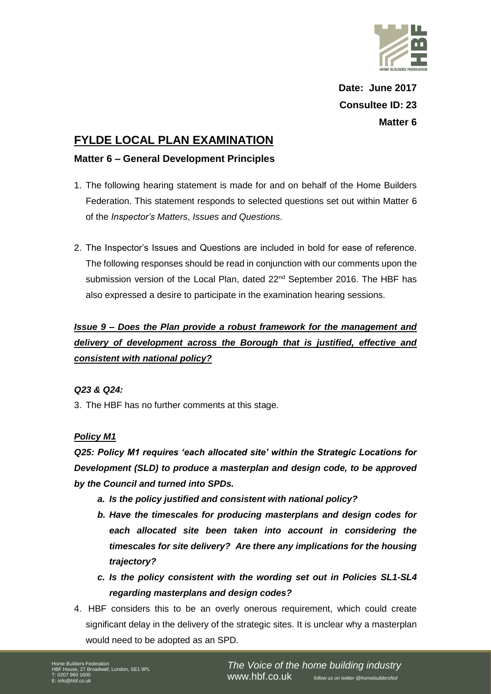

**Date: June 2017 Consultee ID: 23 Matter 6**

# **FYLDE LOCAL PLAN EXAMINATION**

### **Matter 6 – General Development Principles**

- 1. The following hearing statement is made for and on behalf of the Home Builders Federation. This statement responds to selected questions set out within Matter 6 of the *Inspector's Matters*, *Issues and Questions*.
- 2. The Inspector's Issues and Questions are included in bold for ease of reference. The following responses should be read in conjunction with our comments upon the submission version of the Local Plan, dated 22<sup>nd</sup> September 2016. The HBF has also expressed a desire to participate in the examination hearing sessions.

## *Issue 9 – Does the Plan provide a robust framework for the management and delivery of development across the Borough that is justified, effective and consistent with national policy?*

### *Q23 & Q24:*

3. The HBF has no further comments at this stage.

### *Policy M1*

*Q25: Policy M1 requires 'each allocated site' within the Strategic Locations for Development (SLD) to produce a masterplan and design code, to be approved by the Council and turned into SPDs.* 

- *a. Is the policy justified and consistent with national policy?*
- *b. Have the timescales for producing masterplans and design codes for each allocated site been taken into account in considering the timescales for site delivery? Are there any implications for the housing trajectory?*
- *c. Is the policy consistent with the wording set out in Policies SL1-SL4 regarding masterplans and design codes?*
- 4. HBF considers this to be an overly onerous requirement, which could create significant delay in the delivery of the strategic sites. It is unclear why a masterplan would need to be adopted as an SPD.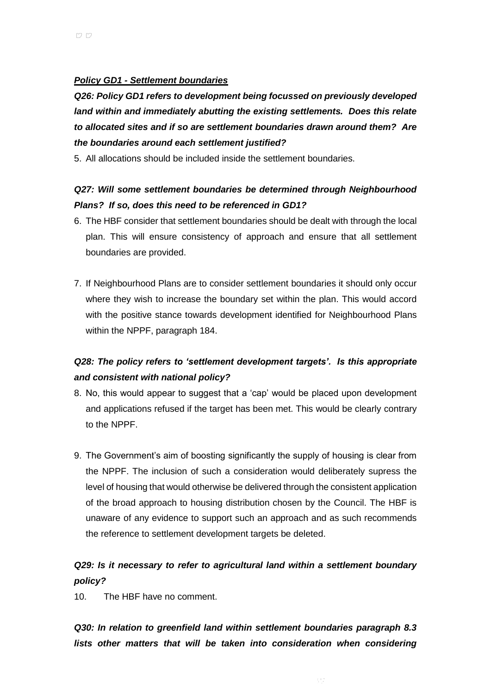### *Policy GD1 - Settlement boundaries*

*Q26: Policy GD1 refers to development being focussed on previously developed land within and immediately abutting the existing settlements. Does this relate to allocated sites and if so are settlement boundaries drawn around them? Are the boundaries around each settlement justified?*

5. All allocations should be included inside the settlement boundaries.

## *Q27: Will some settlement boundaries be determined through Neighbourhood Plans? If so, does this need to be referenced in GD1?*

- 6. The HBF consider that settlement boundaries should be dealt with through the local plan. This will ensure consistency of approach and ensure that all settlement boundaries are provided.
- 7. If Neighbourhood Plans are to consider settlement boundaries it should only occur where they wish to increase the boundary set within the plan. This would accord with the positive stance towards development identified for Neighbourhood Plans within the NPPF, paragraph 184.

## *Q28: The policy refers to 'settlement development targets'. Is this appropriate and consistent with national policy?*

- 8. No, this would appear to suggest that a 'cap' would be placed upon development and applications refused if the target has been met. This would be clearly contrary to the NPPF.
- 9. The Government's aim of boosting significantly the supply of housing is clear from the NPPF. The inclusion of such a consideration would deliberately supress the level of housing that would otherwise be delivered through the consistent application of the broad approach to housing distribution chosen by the Council. The HBF is unaware of any evidence to support such an approach and as such recommends the reference to settlement development targets be deleted.

## *Q29: Is it necessary to refer to agricultural land within a settlement boundary policy?*

10. The HBF have no comment.

*Q30: In relation to greenfield land within settlement boundaries paragraph 8.3*  lists other matters that will be taken into consideration when considering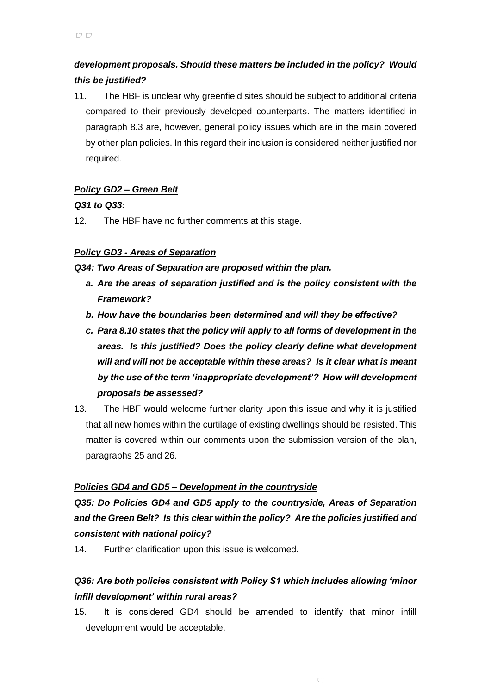## *development proposals. Should these matters be included in the policy? Would this be justified?*

11. The HBF is unclear why greenfield sites should be subject to additional criteria compared to their previously developed counterparts. The matters identified in paragraph 8.3 are, however, general policy issues which are in the main covered by other plan policies. In this regard their inclusion is considered neither justified nor required.

## *Policy GD2 – Green Belt*

## *Q31 to Q33:*

12. The HBF have no further comments at this stage.

## *Policy GD3 - Areas of Separation*

### *Q34: Two Areas of Separation are proposed within the plan.*

- *a. Are the areas of separation justified and is the policy consistent with the Framework?*
- *b. How have the boundaries been determined and will they be effective?*
- *c. Para 8.10 states that the policy will apply to all forms of development in the areas. Is this justified? Does the policy clearly define what development will and will not be acceptable within these areas? Is it clear what is meant by the use of the term 'inappropriate development'? How will development proposals be assessed?*
- 13. The HBF would welcome further clarity upon this issue and why it is justified that all new homes within the curtilage of existing dwellings should be resisted. This matter is covered within our comments upon the submission version of the plan, paragraphs 25 and 26.

### *Policies GD4 and GD5 – Development in the countryside*

*Q35: Do Policies GD4 and GD5 apply to the countryside, Areas of Separation and the Green Belt? Is this clear within the policy? Are the policies justified and consistent with national policy?*

14. Further clarification upon this issue is welcomed.

## *Q36: Are both policies consistent with Policy S1 which includes allowing 'minor infill development' within rural areas?*

15. It is considered GD4 should be amended to identify that minor infill development would be acceptable.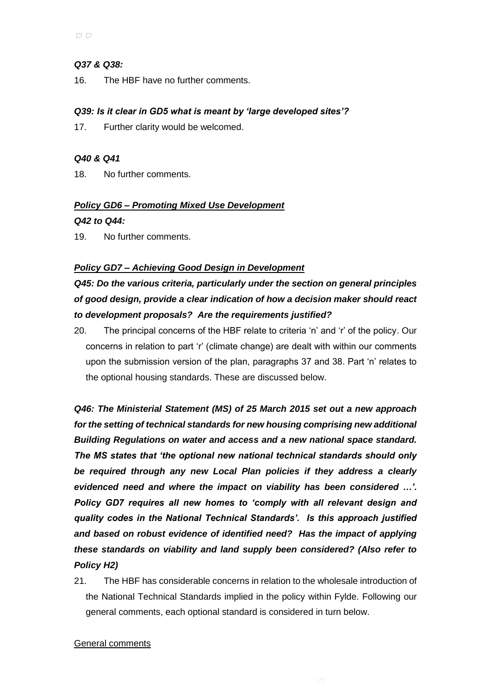### *Q37 & Q38:*

16. The HBF have no further comments.

### *Q39: Is it clear in GD5 what is meant by 'large developed sites'?*

17. Further clarity would be welcomed.

### *Q40 & Q41*

18. No further comments.

### *Policy GD6 – Promoting Mixed Use Development*

### *Q42 to Q44:*

19. No further comments.

### *Policy GD7 – Achieving Good Design in Development*

## *Q45: Do the various criteria, particularly under the section on general principles of good design, provide a clear indication of how a decision maker should react to development proposals? Are the requirements justified?*

20. The principal concerns of the HBF relate to criteria 'n' and 'r' of the policy. Our concerns in relation to part 'r' (climate change) are dealt with within our comments upon the submission version of the plan, paragraphs 37 and 38. Part 'n' relates to the optional housing standards. These are discussed below.

*Q46: The Ministerial Statement (MS) of 25 March 2015 set out a new approach for the setting of technical standards for new housing comprising new additional Building Regulations on water and access and a new national space standard. The MS states that 'the optional new national technical standards should only be required through any new Local Plan policies if they address a clearly evidenced need and where the impact on viability has been considered …'. Policy GD7 requires all new homes to 'comply with all relevant design and quality codes in the National Technical Standards'. Is this approach justified and based on robust evidence of identified need? Has the impact of applying these standards on viability and land supply been considered? (Also refer to Policy H2)*

21. The HBF has considerable concerns in relation to the wholesale introduction of the National Technical Standards implied in the policy within Fylde. Following our general comments, each optional standard is considered in turn below.

#### General comments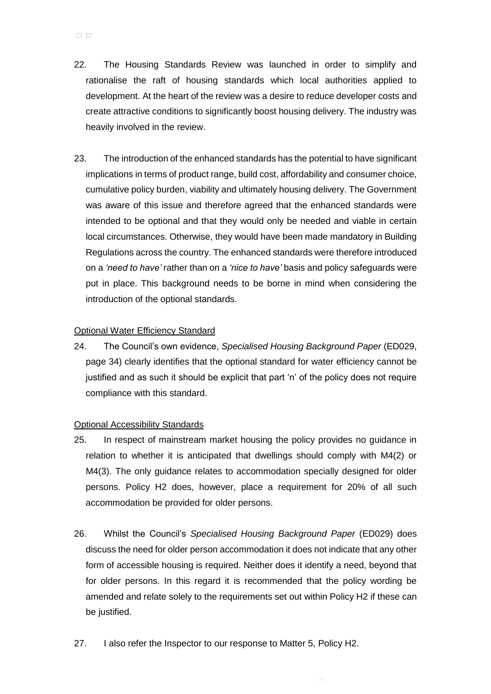- 22. The Housing Standards Review was launched in order to simplify and rationalise the raft of housing standards which local authorities applied to development. At the heart of the review was a desire to reduce developer costs and create attractive conditions to significantly boost housing delivery. The industry was heavily involved in the review.
- 23. The introduction of the enhanced standards has the potential to have significant implications in terms of product range, build cost, affordability and consumer choice, cumulative policy burden, viability and ultimately housing delivery. The Government was aware of this issue and therefore agreed that the enhanced standards were intended to be optional and that they would only be needed and viable in certain local circumstances. Otherwise, they would have been made mandatory in Building Regulations across the country. The enhanced standards were therefore introduced on a *'need to have'* rather than on a *'nice to have'* basis and policy safeguards were put in place. This background needs to be borne in mind when considering the introduction of the optional standards.

### Optional Water Efficiency Standard

24. The Council's own evidence, *Specialised Housing Background Paper* (ED029, page 34) clearly identifies that the optional standard for water efficiency cannot be justified and as such it should be explicit that part 'n' of the policy does not require compliance with this standard.

#### Optional Accessibility Standards

- 25. In respect of mainstream market housing the policy provides no guidance in relation to whether it is anticipated that dwellings should comply with M4(2) or M4(3). The only guidance relates to accommodation specially designed for older persons. Policy H2 does, however, place a requirement for 20% of all such accommodation be provided for older persons.
- 26. Whilst the Council's *Specialised Housing Background Paper* (ED029) does discuss the need for older person accommodation it does not indicate that any other form of accessible housing is required. Neither does it identify a need, beyond that for older persons. In this regard it is recommended that the policy wording be amended and relate solely to the requirements set out within Policy H2 if these can be justified.
- 27. I also refer the Inspector to our response to Matter 5, Policy H2.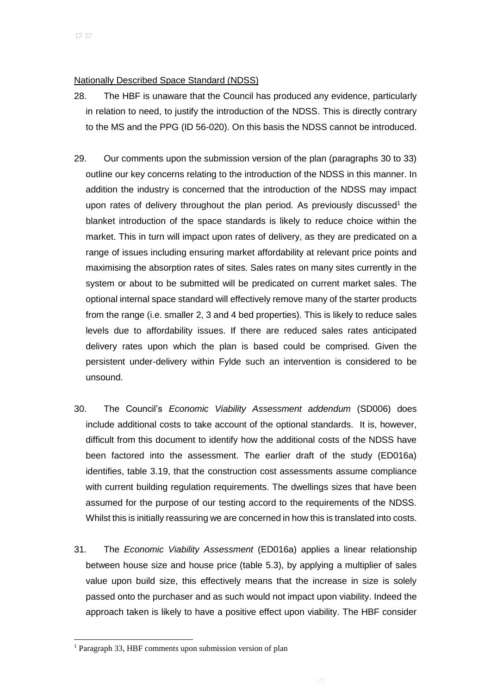### Nationally Described Space Standard (NDSS)

- 28. The HBF is unaware that the Council has produced any evidence, particularly in relation to need, to justify the introduction of the NDSS. This is directly contrary to the MS and the PPG (ID 56-020). On this basis the NDSS cannot be introduced.
- 29. Our comments upon the submission version of the plan (paragraphs 30 to 33) outline our key concerns relating to the introduction of the NDSS in this manner. In addition the industry is concerned that the introduction of the NDSS may impact upon rates of delivery throughout the plan period. As previously discussed<sup>1</sup> the blanket introduction of the space standards is likely to reduce choice within the market. This in turn will impact upon rates of delivery, as they are predicated on a range of issues including ensuring market affordability at relevant price points and maximising the absorption rates of sites. Sales rates on many sites currently in the system or about to be submitted will be predicated on current market sales. The optional internal space standard will effectively remove many of the starter products from the range (i.e. smaller 2, 3 and 4 bed properties). This is likely to reduce sales levels due to affordability issues. If there are reduced sales rates anticipated delivery rates upon which the plan is based could be comprised. Given the persistent under-delivery within Fylde such an intervention is considered to be unsound.
- 30. The Council's *Economic Viability Assessment addendum* (SD006) does include additional costs to take account of the optional standards. It is, however, difficult from this document to identify how the additional costs of the NDSS have been factored into the assessment. The earlier draft of the study (ED016a) identifies, table 3.19, that the construction cost assessments assume compliance with current building regulation requirements. The dwellings sizes that have been assumed for the purpose of our testing accord to the requirements of the NDSS. Whilst this is initially reassuring we are concerned in how this is translated into costs.
- 31. The *Economic Viability Assessment* (ED016a) applies a linear relationship between house size and house price (table 5.3), by applying a multiplier of sales value upon build size, this effectively means that the increase in size is solely passed onto the purchaser and as such would not impact upon viability. Indeed the approach taken is likely to have a positive effect upon viability. The HBF consider

l

<sup>&</sup>lt;sup>1</sup> Paragraph 33, HBF comments upon submission version of plan